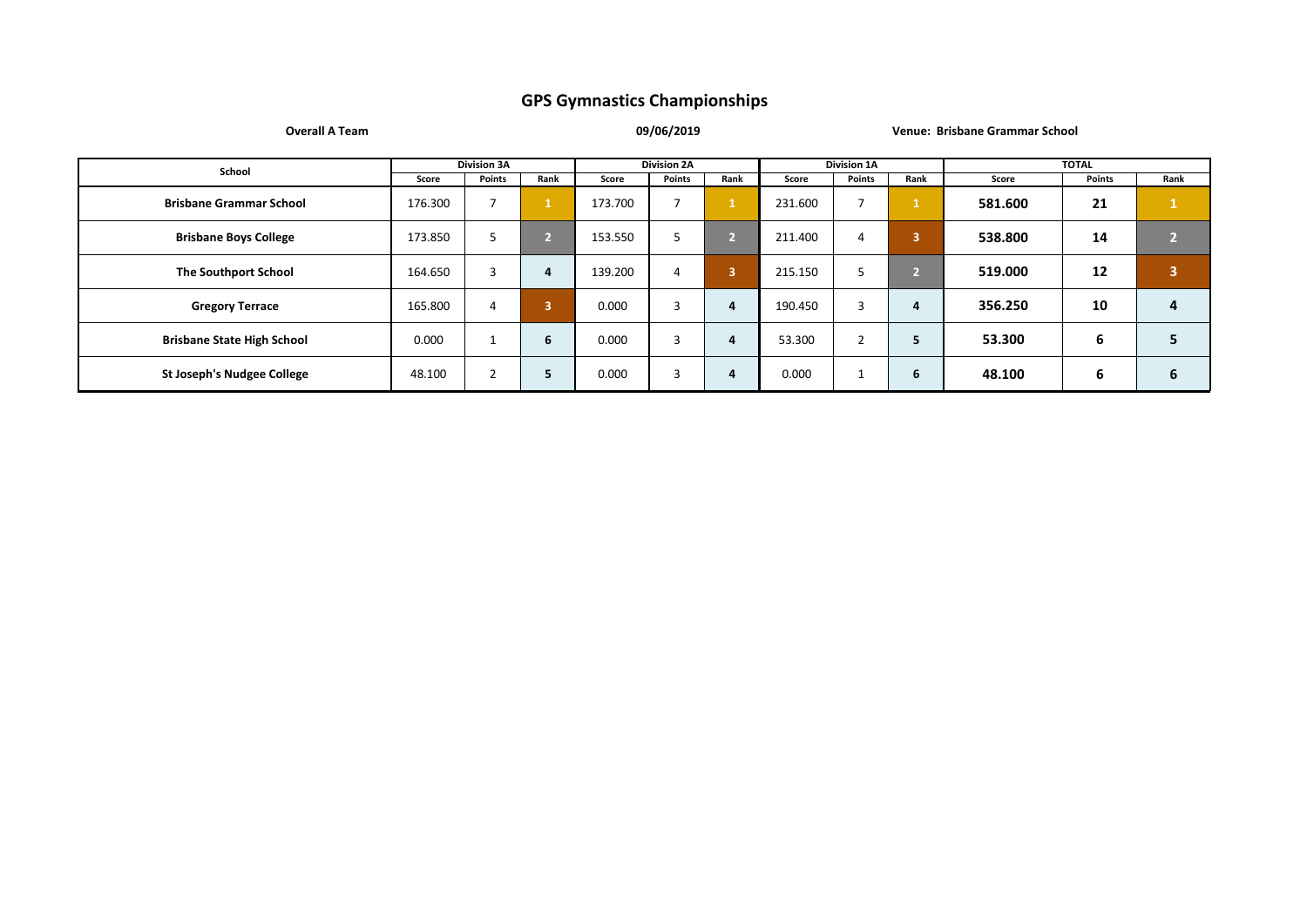**Overall A Team 09/06/2019 Venue: Brisbane Grammar School**

| School                            |         | <b>Division 3A</b> |               |         | <b>Division 2A</b> |      |         | <b>Division 1A</b> |                         |         | <b>TOTAL</b> |                         |
|-----------------------------------|---------|--------------------|---------------|---------|--------------------|------|---------|--------------------|-------------------------|---------|--------------|-------------------------|
|                                   | Score   | Points             | Rank          | Score   | Points             | Rank | Score   | Points             | Rank                    | Score   | Points       | Rank                    |
| <b>Brisbane Grammar School</b>    | 176.300 |                    |               | 173.700 |                    |      | 231.600 |                    |                         | 581.600 | 21           |                         |
| <b>Brisbane Boys College</b>      | 173.850 |                    | $\mathcal{D}$ | 153.550 | כ                  |      | 211.400 | 4                  | $\overline{\mathbf{3}}$ | 538.800 | 14           | n                       |
| <b>The Southport School</b>       | 164.650 | $\mathbf{a}$       | 4             | 139.200 | 4                  | 3    | 215.150 |                    | n                       | 519.000 | 12           | $\overline{\mathbf{3}}$ |
| <b>Gregory Terrace</b>            | 165.800 | 4                  | 3             | 0.000   | 3                  | 4    | 190.450 | $\sim$<br>з        | 4                       | 356.250 | 10           | 4                       |
| <b>Brisbane State High School</b> | 0.000   |                    | 6             | 0.000   | 3                  | 4    | 53.300  | ∠                  | 5                       | 53.300  | 6            | 5                       |
| <b>St Joseph's Nudgee College</b> | 48.100  | ີ                  | 5             | 0.000   | 3                  | 4    | 0.000   |                    | 6                       | 48.100  | 6            | 6                       |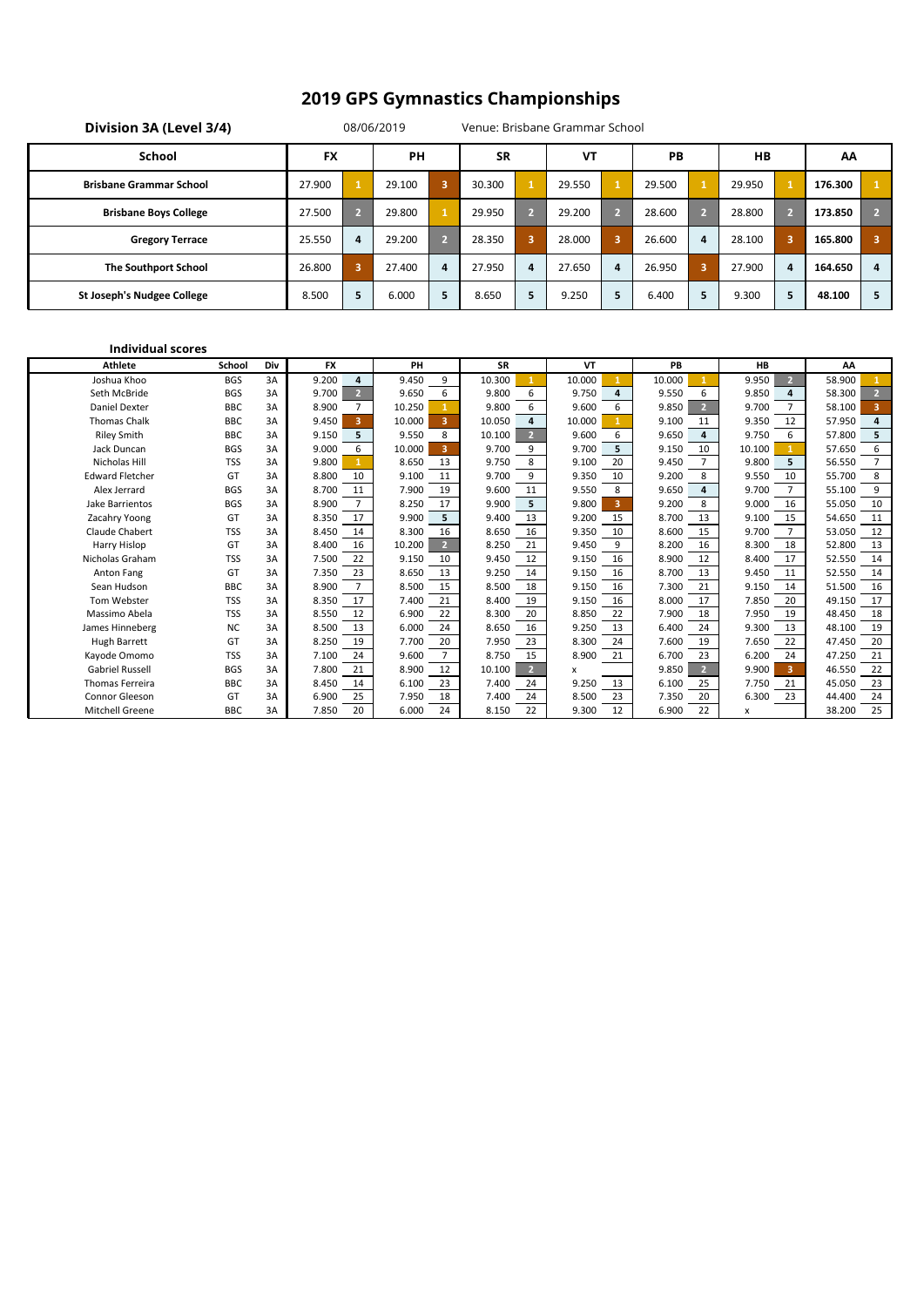| Division 3A (Level 3/4)           |           |    | 08/06/2019 |    |           |   | Venue: Brisbane Grammar School |    |        |                         |        |                |         |   |
|-----------------------------------|-----------|----|------------|----|-----------|---|--------------------------------|----|--------|-------------------------|--------|----------------|---------|---|
| School                            | <b>FX</b> |    | PH         |    | <b>SR</b> |   | <b>VT</b>                      |    | PB     |                         | HB     |                | AA      |   |
| <b>Brisbane Grammar School</b>    | 27,900    |    | 29.100     | 3  | 30.300    |   | 29.550                         |    | 29.500 |                         | 29.950 |                | 176.300 |   |
| <b>Brisbane Boys College</b>      | 27.500    | V. | 29.800     |    | 29.950    |   | 29.200                         | v. | 28.600 | V.                      | 28.800 | 2.             | 173.850 | 5 |
| <b>Gregory Terrace</b>            | 25.550    | 4  | 29.200     | v. | 28.350    | 3 | 28.000                         | з  | 26.600 | 4                       | 28.100 | 3              | 165.800 | 3 |
| <b>The Southport School</b>       | 26.800    | 3  | 27.400     | 4  | 27.950    | 4 | 27.650                         | 4  | 26.950 | $\overline{\mathbf{3}}$ | 27.900 | $\overline{a}$ | 164.650 | 4 |
| <b>St Joseph's Nudgee College</b> | 8.500     | 5  | 6.000      | 5  | 8.650     | 5 | 9.250                          | 5  | 6.400  | 5                       | 9.300  | 5              | 48.100  | 5 |

#### **Individual scores**

| <b>Athlete</b>         | School     | Div | <b>FX</b>               | PH                                | <b>SR</b>                | VT          | PB                      | <b>HB</b>               | AA                       |
|------------------------|------------|-----|-------------------------|-----------------------------------|--------------------------|-------------|-------------------------|-------------------------|--------------------------|
| Joshua Khoo            | <b>BGS</b> | 3A  | 9.200<br>4              | 9.450<br>9                        | 10.300                   | 10.000      | 10.000                  | 9.950<br>$\overline{2}$ | 58.900                   |
| Seth McBride           | <b>BGS</b> | 3A  | 9.700<br>$\overline{2}$ | 9.650<br>6                        | 9.800<br>6               | 9.750<br>4  | 9.550<br>6              | 9.850<br>4              | 58.300<br>$\overline{2}$ |
| <b>Daniel Dexter</b>   | <b>BBC</b> | 3A  | 8.900                   | 10.250                            | 9.800<br>6               | 9.600<br>6  | 9.850<br>$\overline{2}$ | 9.700                   | 58.100<br>3              |
| <b>Thomas Chalk</b>    | <b>BBC</b> | 3A  | 9.450<br>3              | 10.000<br>3                       | 10.050<br>4              | 10.000      | 9.100<br>11             | 9.350<br>12             | 57.950<br>4              |
| <b>Riley Smith</b>     | <b>BBC</b> | 3A  | 9.150<br>5              | 9.550<br>8                        | 10.100<br>$\overline{2}$ | 9.600<br>6  | 9.650<br>4              | 9.750<br>6              | 57.800<br>5              |
| Jack Duncan            | <b>BGS</b> | 3A  | 9.000<br>6              | $\overline{\mathbf{3}}$<br>10.000 | 9.700<br>9               | 9.700<br>5  | 9.150<br>10             | 10.100                  | 6<br>57.650              |
| Nicholas Hill          | <b>TSS</b> | 3A  | 9.800                   | 8.650<br>13                       | 8<br>9.750               | 9.100<br>20 | 9.450                   | 9.800<br>5              | $\overline{7}$<br>56.550 |
| <b>Edward Fletcher</b> | GT         | 3A  | 8.800<br>10             | 9.100<br>11                       | 9.700<br>9               | 9.350<br>10 | 9.200<br>8              | 9.550<br>10             | 8<br>55.700              |
| Alex Jerrard           | <b>BGS</b> | 3A  | 8.700<br>11             | 7.900<br>19                       | 9.600<br>11              | 9.550<br>8  | 9.650<br>4              | 9.700                   | 9<br>55.100              |
| Jake Barrientos        | <b>BGS</b> | 3A  | 8.900                   | 8.250<br>17                       | 9.900<br>5               | 9.800<br>3  | 9.200<br>8              | 9.000<br>16             | 10<br>55.050             |
| Zacahry Yoong          | GT         | 3A  | 17<br>8.350             | 9.900<br>5                        | 9.400<br>13              | 9.200<br>15 | 8.700<br>13             | 9.100<br>15             | 54.650<br>11             |
| Claude Chabert         | <b>TSS</b> | 3A  | 8.450<br>14             | 8.300<br>16                       | 16<br>8.650              | 9.350<br>10 | 8.600<br>15             | 9.700                   | 12<br>53.050             |
| <b>Harry Hislop</b>    | GT         | 3A  | 8.400<br>16             | 10.200<br>$\overline{2}$          | 8.250<br>21              | 9.450<br>9  | 8.200<br>16             | 8.300<br>18             | 13<br>52.800             |
| Nicholas Graham        | <b>TSS</b> | 3A  | 22<br>7.500             | 9.150<br>10                       | 12<br>9.450              | 9.150<br>16 | 8.900<br>12             | 8.400<br>17             | 14<br>52.550             |
| Anton Fang             | GT         | 3A  | 23<br>7.350             | 13<br>8.650                       | 9.250<br>14              | 9.150<br>16 | 8.700<br>13             | 9.450<br>11             | 52.550<br>14             |
| Sean Hudson            | <b>BBC</b> | 3A  | $\overline{7}$<br>8.900 | 8.500<br>15                       | 18<br>8.500              | 9.150<br>16 | 7.300<br>21             | 9.150<br>14             | 16<br>51.500             |
| Tom Webster            | <b>TSS</b> | 3A  | 17<br>8.350             | 7.400<br>21                       | 8.400<br>19              | 9.150<br>16 | 8.000<br>17             | 7.850<br>20             | 49.150<br>17             |
| Massimo Abela          | <b>TSS</b> | 3A  | 8.550<br>12             | 6.900<br>22                       | 8.300<br>20              | 8.850<br>22 | 7.900<br>18             | 7.950<br>19             | 18<br>48.450             |
| James Hinneberg        | <b>NC</b>  | 3A  | 13<br>8.500             | 6.000<br>24                       | 8.650<br>16              | 9.250<br>13 | 6.400<br>24             | 9.300<br>13             | 19<br>48.100             |
| Hugh Barrett           | GT         | 3A  | 8.250<br>19             | 7.700<br>20                       | 23<br>7.950              | 8.300<br>24 | 7.600<br>19             | 22<br>7.650             | 20<br>47.450             |
| Kayode Omomo           | <b>TSS</b> | 3A  | 24<br>7.100             | $\overline{7}$<br>9.600           | 8.750<br>15              | 8.900<br>21 | 23<br>6.700             | 24<br>6.200             | 21<br>47.250             |
| <b>Gabriel Russell</b> | <b>BGS</b> | 3A  | 7.800<br>21             | 8.900<br>12                       | 10.100<br>$\overline{2}$ | x           | 9.850<br>$\overline{2}$ | 9.900<br>3              | 22<br>46.550             |
| <b>Thomas Ferreira</b> | <b>BBC</b> | 3A  | 8.450<br>14             | 6.100<br>23                       | 7.400<br>24              | 9.250<br>13 | 6.100<br>25             | 7.750<br>21             | 23<br>45.050             |
| Connor Gleeson         | GT         | 3A  | 25<br>6.900             | 18<br>7.950                       | 24<br>7.400              | 8.500<br>23 | 20<br>7.350             | 23<br>6.300             | 24<br>44.400             |
| Mitchell Greene        | <b>BBC</b> | 3A  | 20<br>7.850             | 6.000<br>24                       | 22<br>8.150              | 9.300<br>12 | 22<br>6.900             | x                       | 25<br>38.200             |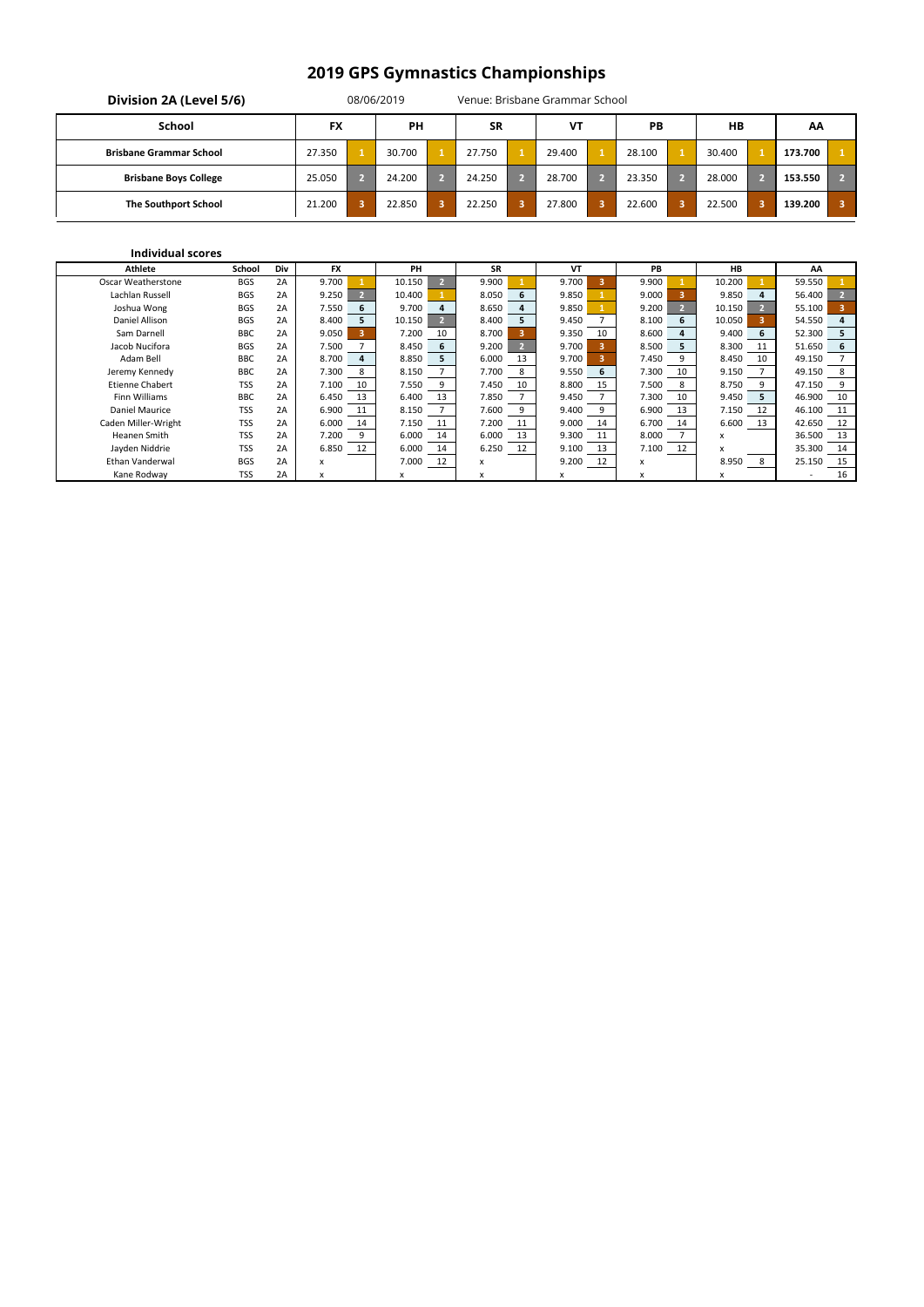| Division 2A (Level 5/6)        |           |   | 08/06/2019 |           | Venue: Brisbane Grammar School |           |                         |        |         |              |
|--------------------------------|-----------|---|------------|-----------|--------------------------------|-----------|-------------------------|--------|---------|--------------|
| School                         | <b>FX</b> |   | <b>PH</b>  | <b>SR</b> | <b>VT</b>                      | <b>PB</b> |                         | $H$ B  | AA      |              |
| <b>Brisbane Grammar School</b> | 27.350    |   | 30.700     | 27.750    | 29.400                         | 28.100    |                         | 30.400 | 173.700 |              |
| <b>Brisbane Boys College</b>   | 25.050    |   | 24.200     | 24.250    | 28.700                         | 23.350    | $\mathbf{\nabla}$       | 28.000 | 153.550 |              |
| <b>The Southport School</b>    | 21.200    | 3 | 22.850     | 22.250    | 27.800                         | 22.600    | $\overline{\mathbf{3}}$ | 22.500 | 139.200 | $\mathbf{3}$ |

| <b>Athlete</b>         | School     | Div | <b>FX</b>   | PH     |    | <b>SR</b>   | VT    |    | PB    |    | <b>HB</b> |     | AA     |    |
|------------------------|------------|-----|-------------|--------|----|-------------|-------|----|-------|----|-----------|-----|--------|----|
| Oscar Weatherstone     | <b>BGS</b> | 2A  | 9.700       | 10.150 |    | 9.900       | 9.700 |    | 9.900 |    | 10.200    |     | 59.550 |    |
| Lachlan Russell        | <b>BGS</b> | 2A  | 9.250       | 10.400 |    | 8.050<br>6  | 9.850 |    | 9.000 |    | 9.850     | 4   | 56.400 |    |
| Joshua Wong            | <b>BGS</b> | 2A  | 7.550<br>6  | 9.700  | 4  | 8.650<br>4  | 9.850 |    | 9.200 |    | 10.150    |     | 55.100 |    |
| Daniel Allison         | <b>BGS</b> | 2A  | 8.400       | 10.150 |    | 8.400<br>5  | 9.450 |    | 8.100 | 6  | 10.050    |     | 54.550 |    |
| Sam Darnell            | <b>BBC</b> | 2A  | 9.050       | 7.200  | 10 | 8.700       | 9.350 | 10 | 8.600 |    | 9.400     |     | 52.300 | 5  |
| Jacob Nucifora         | <b>BGS</b> | 2A  | 7.500       | 8.450  | 6  | 9.200       | 9.700 |    | 8.500 | 5  | 8.300     | 11  | 51.650 | 6  |
| Adam Bell              | <b>BBC</b> | 2A  | 8.700       | 8.850  |    | 6.000<br>13 | 9.700 |    | 7.450 |    | 8.450     | 10  | 49.150 |    |
| Jeremy Kennedy         | <b>BBC</b> | 2A  | 7.300       | 8.150  |    | 7.700<br>8  | 9.550 | 6  | 7.300 | 10 | 9.150     |     | 49.150 |    |
| <b>Etienne Chabert</b> | <b>TSS</b> | 2A  | 7.100<br>10 | 7.550  | 9  | 7.450<br>10 | 8.800 | 15 | 7.500 | 8  | 8.750     |     | 47.150 |    |
| <b>Finn Williams</b>   | <b>BBC</b> | 2A  | 6.450<br>13 | 6.400  | 13 | 7.850       | 9.450 |    | 7.300 | 10 | 9.450     | 5.  | 46.900 | 10 |
| Daniel Maurice         | <b>TSS</b> | 2A  | 6.900       | 8.150  |    | 7.600<br>9  | 9.400 | 9  | 6.900 | 13 | 7.150     | 12  | 46.100 | 11 |
| Caden Miller-Wright    | <b>TSS</b> | 2A  | 6.000<br>14 | 7.150  | 11 | 7.200<br>11 | 9.000 | 14 | 6.700 | 14 | 6.600     | 13  | 42.650 | 12 |
| Heanen Smith           | <b>TSS</b> | 2A  | 7.200       | 6.000  | 14 | 6.000<br>13 | 9.300 | 11 | 8.000 |    | x         |     | 36.500 | 13 |
| Jayden Niddrie         | <b>TSS</b> | 2A  | 6.850<br>12 | 6.000  | 14 | 6.250<br>12 | 9.100 | 13 | 7.100 | 12 | x         |     | 35.300 | 14 |
| Ethan Vanderwal        | <b>BGS</b> | 2A  | x           | 7.000  | 12 | x           | 9.200 | 12 | X     |    | 8.950     | - 8 | 25.150 | 15 |
| Kane Rodway            | TSS        | 2A  | x           | x      |    |             |       |    | x     |    | x         |     |        | 16 |

#### **Individual scores**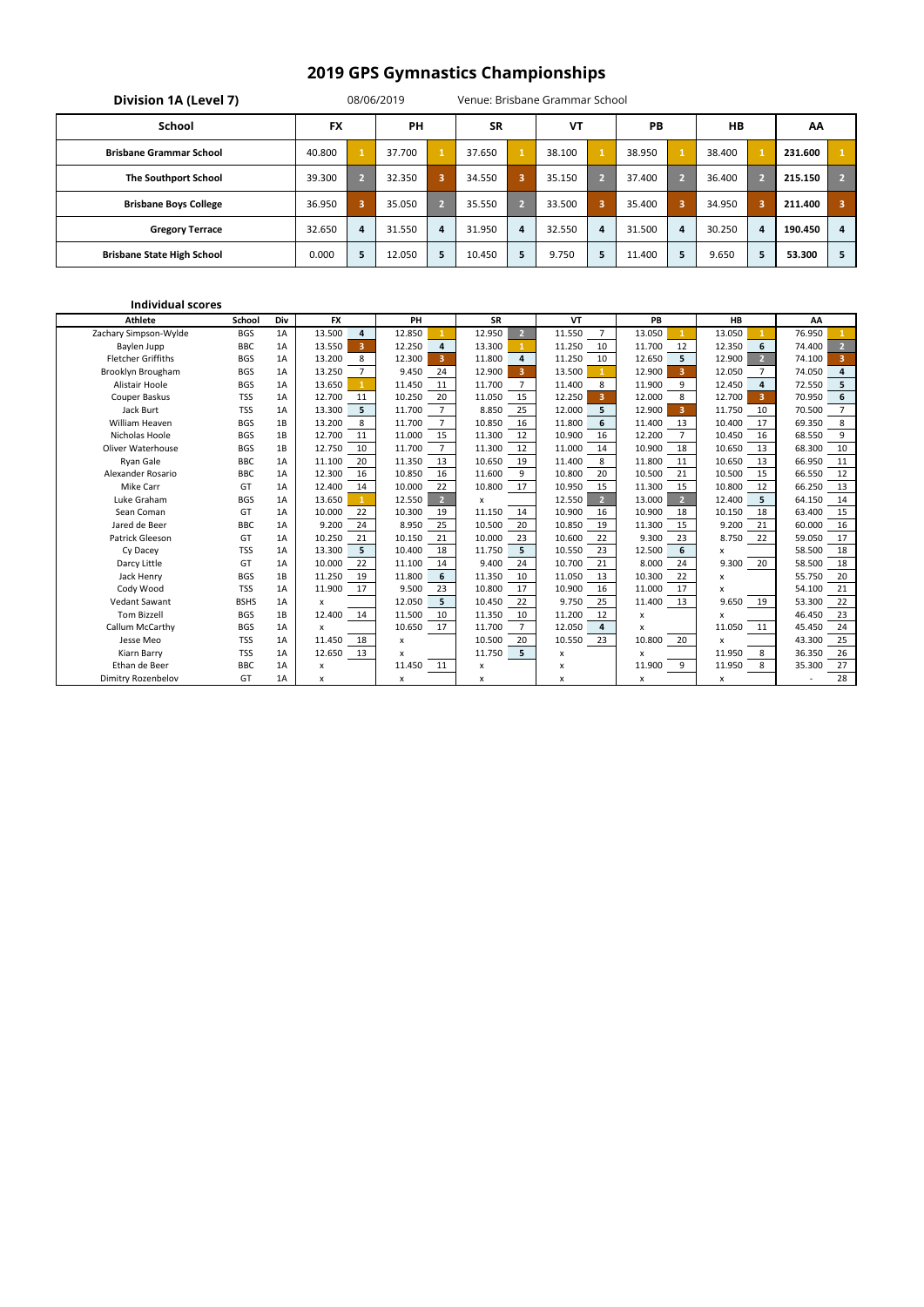| Division 1A (Level 7)             |           |                         | 08/06/2019 |                |           |   | Venue: Brisbane Grammar School |   |           |                         |           |    |         |    |
|-----------------------------------|-----------|-------------------------|------------|----------------|-----------|---|--------------------------------|---|-----------|-------------------------|-----------|----|---------|----|
| School                            | <b>FX</b> |                         | <b>PH</b>  |                | <b>SR</b> |   | <b>VT</b>                      |   | <b>PB</b> |                         | <b>HB</b> |    | AA      |    |
| <b>Brisbane Grammar School</b>    | 40.800    |                         | 37.700     |                | 37.650    |   | 38.100                         |   | 38.950    | $\mathbf{1}$            | 38.400    |    | 231.600 |    |
| <b>The Southport School</b>       | 39.300    | 7                       | 32.350     | $\overline{3}$ | 34.550    | з | 35.150                         |   | 37.400    | 下2.                     | 36.400    |    | 215.150 | 2. |
| <b>Brisbane Boys College</b>      | 36.950    | $\overline{\mathbf{3}}$ | 35.050     | 2 <sup>1</sup> | 35.550    | ワ | 33.500                         | 3 | 35.400    | $\overline{\mathbf{3}}$ | 34.950    |    | 211.400 | 3  |
| <b>Gregory Terrace</b>            | 32.650    | $\overline{a}$          | 31.550     | 4              | 31.950    | 4 | 32.550                         | 4 | 31.500    | 4                       | 30.250    | 4  | 190.450 | 4  |
| <b>Brisbane State High School</b> | 0.000     | 5                       | 12.050     | 5              | 10.450    | 5 | 9.750                          | 5 | 11.400    | 5                       | 9.650     | 5. | 53.300  | 5  |

| <b>Athlete</b>            | <b>School</b> | Div | <b>FX</b>                         | PH                       | <b>SR</b>                | <b>VT</b>                         | PB                                | <b>HB</b>                         | AA                                |
|---------------------------|---------------|-----|-----------------------------------|--------------------------|--------------------------|-----------------------------------|-----------------------------------|-----------------------------------|-----------------------------------|
| Zachary Simpson-Wylde     | <b>BGS</b>    | 1A  | 13.500<br>4                       | 12.850                   | 12.950<br>2 <sup>1</sup> | 11.550<br>$\overline{7}$          | 13.050                            | 13.050                            | 76.950                            |
| Baylen Jupp               | <b>BBC</b>    | 1A  | 13.550<br>$\overline{\mathbf{3}}$ | 12.250<br>4              | 13.300<br>$\mathbf{1}$   | 11.250<br>10                      | 11.700<br>12                      | 12.350<br>6                       | $\overline{2}$<br>74.400          |
| <b>Fletcher Griffiths</b> | <b>BGS</b>    | 1A  | 13.200<br>8                       | 12.300<br>3              | 11.800<br>4              | 11.250<br>10                      | 12.650<br>5                       | 12.900<br>$\overline{2}$          | $\overline{\mathbf{3}}$<br>74.100 |
| Brooklyn Brougham         | <b>BGS</b>    | 1A  | 13.250<br>$\overline{7}$          | 9.450<br>24              | 12.900<br>$\overline{3}$ | 13.500                            | 12.900<br>$\overline{\mathbf{3}}$ | 12.050                            | 74.050<br>4                       |
| Alistair Hoole            | <b>BGS</b>    | 1A  | 13.650                            | 11.450<br>11             | 11.700<br>7              | 11.400<br>8                       | 9<br>11.900                       | 12.450<br>4                       | 5<br>72.550                       |
| Couper Baskus             | <b>TSS</b>    | 1A  | 12.700<br>11                      | 20<br>10.250             | 11.050<br>15             | 12.250<br>$\overline{\mathbf{3}}$ | 12.000<br>8                       | 12.700<br>$\overline{\mathbf{3}}$ | 6<br>70.950                       |
| Jack Burt                 | <b>TSS</b>    | 1A  | 13.300<br>5                       | $\overline{7}$<br>11.700 | 8.850<br>25              | 12.000<br>5                       | 12.900<br>$\overline{3}$          | 11.750<br>10                      | 7<br>70.500                       |
| <b>William Heaven</b>     | <b>BGS</b>    | 1B  | 13.200<br>8                       | $\overline{7}$<br>11.700 | 10.850<br>16             | 11.800<br>6                       | 13<br>11.400                      | 10.400<br>17                      | 8<br>69.350                       |
| Nicholas Hoole            | <b>BGS</b>    | 1B  | 12.700<br>11                      | 15<br>11.000             | 11.300<br>12             | 10.900<br>16                      | $\overline{7}$<br>12.200          | 10.450<br>16                      | 68.550<br>9                       |
| <b>Oliver Waterhouse</b>  | <b>BGS</b>    | 1B  | 12.750<br>10                      | $\overline{7}$<br>11.700 | 11.300<br>12             | 11.000<br>14                      | 10.900<br>18                      | 10.650<br>13                      | 68.300<br>10                      |
| <b>Ryan Gale</b>          | <b>BBC</b>    | 1A  | 20<br>11.100                      | 11.350<br>13             | 10.650<br>19             | 11.400<br>8                       | 11.800<br>11                      | 10.650<br>13                      | 66.950<br>11                      |
| Alexander Rosario         | <b>BBC</b>    | 1A  | 12.300<br>16                      | 10.850<br>16             | 11.600<br>9              | 10.800<br>20                      | 10.500<br>21                      | 10.500<br>15                      | 12<br>66.550                      |
| Mike Carr                 | GT            | 1A  | 14<br>12.400                      | 22<br>10.000             | 10.800<br>17             | 10.950<br>15                      | 11.300<br>15                      | 10.800<br>12                      | 13<br>66.250                      |
| Luke Graham               | <b>BGS</b>    | 1A  | 13.650<br>$\mathbf{1}$            | $\overline{2}$<br>12.550 | x                        | 12.550<br>$\overline{2}$          | 13.000<br>$\overline{2}$          | 12.400<br>5                       | 64.150<br>14                      |
| Sean Coman                | GT            | 1A  | 10.000<br>22                      | 10.300<br>19             | 11.150<br>14             | 10.900<br>16                      | 10.900<br>18                      | 10.150<br>18                      | 63.400<br>15                      |
| Jared de Beer             | <b>BBC</b>    | 1A  | 9.200<br>24                       | 8.950<br>25              | 10.500<br>20             | 10.850<br>19                      | 11.300<br>15                      | 9.200<br>21                       | 16<br>60.000                      |
| <b>Patrick Gleeson</b>    | GT            | 1A  | 21<br>10.250                      | 10.150<br>21             | 10.000<br>23             | 10.600<br>22                      | 9.300<br>23                       | 22<br>8.750                       | 17<br>59.050                      |
| Cy Dacey                  | <b>TSS</b>    | 1A  | 5<br>13.300                       | 10.400<br>18             | 5<br>11.750              | 10.550<br>23                      | 6<br>12.500                       | x                                 | 18<br>58.500                      |
| Darcy Little              | GT            | 1A  | 22<br>10.000                      | 11.100<br>14             | 24<br>9.400              | 10.700<br>21                      | 24<br>8.000                       | 9.300<br>20                       | 18<br>58.500                      |
| Jack Henry                | <b>BGS</b>    | 1B  | 19<br>11.250                      | 6<br>11.800              | 11.350<br>10             | 13<br>11.050                      | 10.300<br>22                      | x                                 | 20<br>55.750                      |
| Cody Wood                 | <b>TSS</b>    | 1A  | 11.900<br>17                      | 23<br>9.500              | 10.800<br>17             | 10.900<br>16                      | 11.000<br>17                      | x                                 | 21<br>54.100                      |
| <b>Vedant Sawant</b>      | <b>BSHS</b>   | 1A  | x                                 | 12.050<br>5              | 10.450<br>22             | 9.750<br>25                       | 11.400<br>13                      | 9.650<br>19                       | 53.300<br>22                      |
| <b>Tom Bizzell</b>        | <b>BGS</b>    | 1B  | 12.400<br>14                      | 11.500<br>10             | 11.350<br>10             | 11.200<br>12                      | X                                 | x                                 | 23<br>46.450                      |
| Callum McCarthy           | <b>BGS</b>    | 1A  | x                                 | 10.650<br>17             | 11.700<br>$\overline{7}$ | 12.050<br>4                       | x                                 | 11.050<br>11                      | 24<br>45.450                      |
| Jesse Meo                 | <b>TSS</b>    | 1A  | 18<br>11.450                      | x                        | 10.500<br>20             | 10.550<br>23                      | 10.800<br>20                      | X                                 | 43.300<br>25                      |
| Kiarn Barry               | <b>TSS</b>    | 1A  | 12.650<br>13                      | x                        | 11.750<br>5              | x                                 | x                                 | 8<br>11.950                       | 26<br>36.350                      |
| Ethan de Beer             | <b>BBC</b>    | 1A  | x                                 | 11.450<br>11             | x                        | x                                 | 11.900<br>9                       | 11.950<br>8                       | 27<br>35.300                      |
| Dimitry Rozenbelov        | GT            | 1A  | X                                 | x                        | x                        | X                                 | X                                 | x                                 | 28                                |

#### **Individual scores**

# **2019 GPS Gymnastics Championships**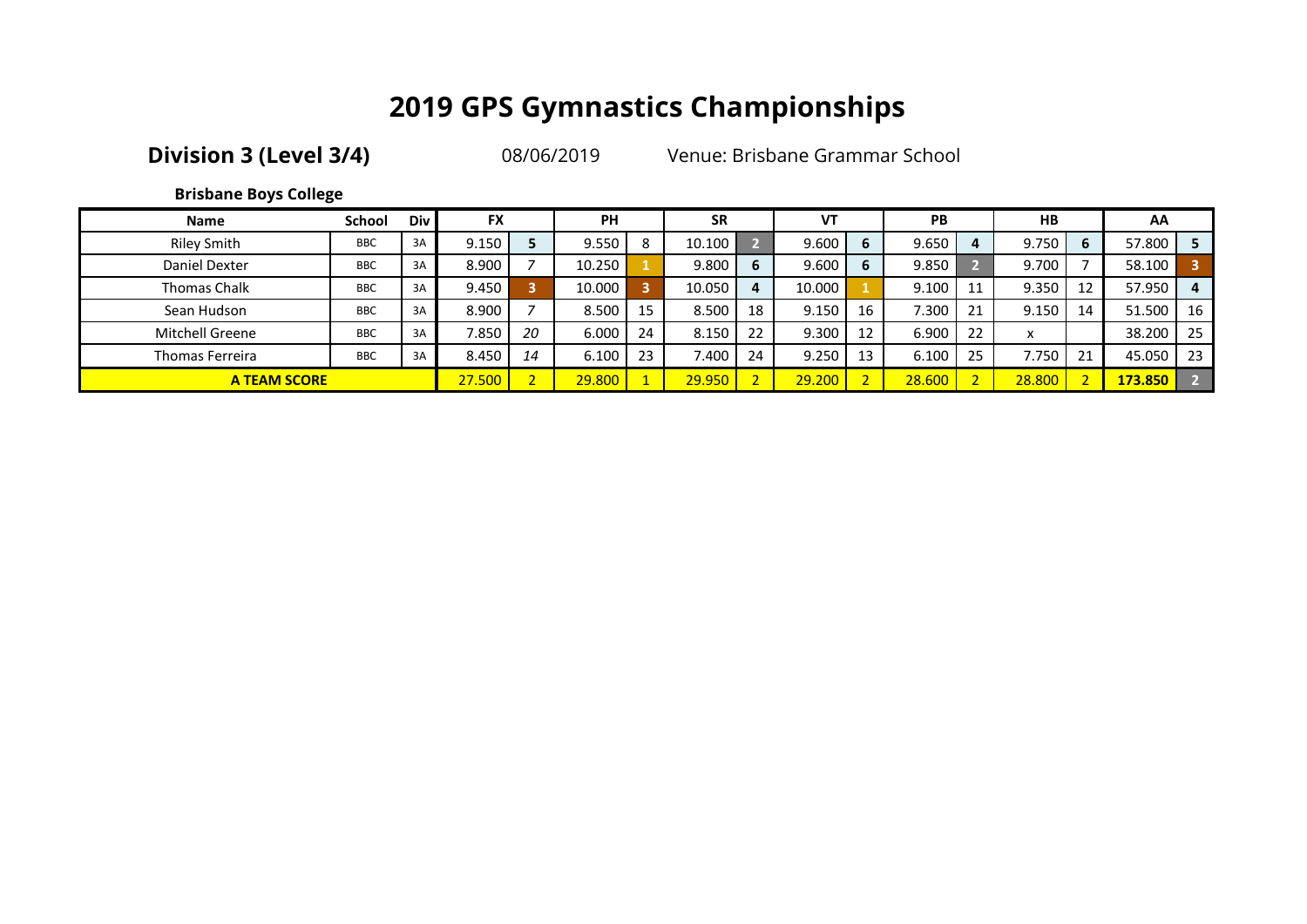**Division 3 (Level 3/4)** 08/06/2019 Venue: Brisbane Grammar School

**Brisbane Boys College**

| <b>Name</b>         | School     | <b>Div</b> | <b>FX</b> |    | <b>PH</b> |    | <b>SR</b> |    | VT     |    | <b>PB</b> |    | <b>HB</b> |    | AA      |     |
|---------------------|------------|------------|-----------|----|-----------|----|-----------|----|--------|----|-----------|----|-----------|----|---------|-----|
| <b>Riley Smith</b>  | <b>BBC</b> | 3A         | 9.150     |    | 9.550     | 8  | 10.100    |    | 9.600  | 6  | 9.650     | 4  | 9.750     | 6  | 57.800  | l 5 |
| Daniel Dexter       | <b>BBC</b> | 3A         | 8.900     |    | 10.250    |    | 9.800     | b  | 9.600  | 6  | 9.850     |    | 9.700     |    | 58.100  |     |
| <b>Thomas Chalk</b> | <b>BBC</b> | 3A         | 9.450     |    | 10.000    | я  | 10.050    | 4  | 10.000 |    | 9.100     | 11 | 9.350     | 12 | 57.950  | 4   |
| Sean Hudson         | <b>BBC</b> | 3A         | 8.900     |    | 8.500     | 15 | 8.500     | 18 | 9.150  | 16 | 7.300     | 21 | 9.150     | 14 | 51.500  | 16  |
| Mitchell Greene     | <b>BBC</b> | 3A         | 7.850     | 20 | 6.000     | 24 | 8.150     | 22 | 9.300  | 12 | 6.900     | 22 | x         |    | 38.200  | -25 |
| Thomas Ferreira     | <b>BBC</b> | 3A         | 8.450     | 14 | 6.100     | 23 | 7.400     | 24 | 9.250  | 13 | 6.100     | 25 | 7.750     | 21 | 45.050  | 23  |
| <b>A TEAM SCORE</b> |            |            | 27.500    |    | 29,800    |    | 29.950    |    | 29,200 |    | 28.600    |    | 28.800    |    | 173.850 |     |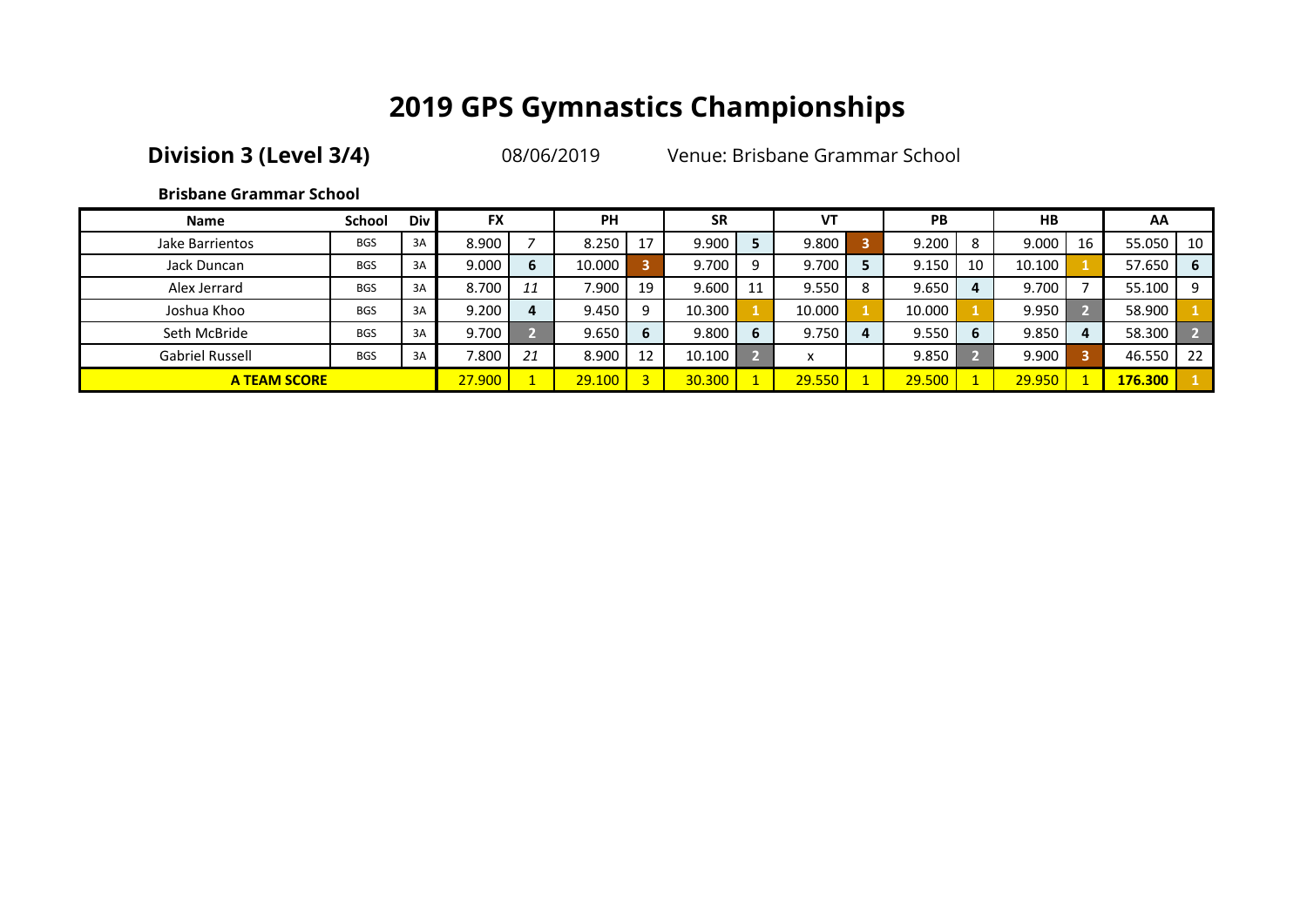**Division 3 (Level 3/4)** 08/06/2019 Venue: Brisbane Grammar School

### **Brisbane Grammar School**

| <b>Name</b>            | School     | Div | <b>FX</b> |    | <b>PH</b> |    | <b>SR</b> |   | VT     |   | PB     |    | HB     |    | AA      |    |
|------------------------|------------|-----|-----------|----|-----------|----|-----------|---|--------|---|--------|----|--------|----|---------|----|
| Jake Barrientos        | <b>BGS</b> | 3A  | 8.900     |    | 8.250     | 17 | 9.900     |   | 9.800  |   | 9.200  | 8  | 9.000  | 16 | 55.050  | 10 |
| Jack Duncan            | <b>BGS</b> | 3A  | 9.000     |    | 10.000    |    | 9.700     |   | 9.700  |   | 9.150  | 10 | 10.100 |    | 57.650  | -6 |
| Alex Jerrard           | <b>BGS</b> | 3A  | 8.700     | 11 | 7.900     | 19 | 9.600     |   | 9.550  | 8 | 9.650  |    | 9.700  |    | 55.100  | 9  |
| Joshua Khoo            | <b>BGS</b> | 3A  | 9.200     |    | 9.450     |    | 10.300    |   | 10.000 |   | 10.000 |    | 9.950  |    | 58.900  |    |
| Seth McBride           | <b>BGS</b> | 3A  | 9.700     |    | 9.650     | 6  | 9.800     | 6 | 9.750  |   | 9.550  | 6  | 9.850  |    | 58.300  |    |
| <b>Gabriel Russell</b> | <b>BGS</b> | 3A  | 7.800     | 21 | 8.900     | 12 | 10.100    |   | x      |   | 9.850  |    | 9.900  | 3  | 46.550  | 22 |
| <b>A TEAM SCORE</b>    |            |     | 27,900    |    | 29.100    |    | 30.300    |   | 29.550 |   | 29.500 |    | 29,950 |    | 176.300 |    |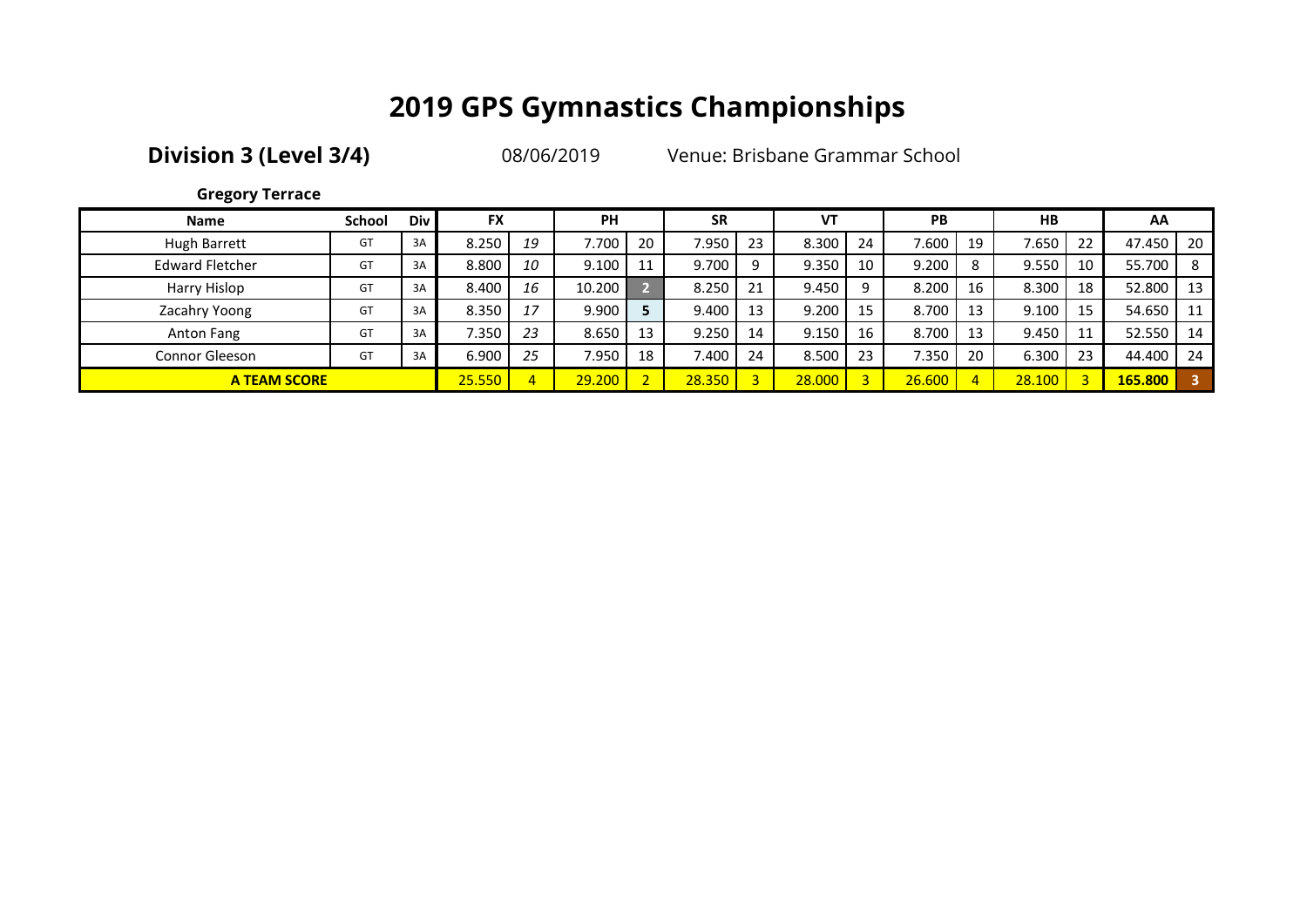**Division 3 (Level 3/4)** 08/06/2019 Venue: Brisbane Grammar School

### **Gregory Terrace**

| <b>Name</b>            | <b>School</b> | Div | <b>FX</b> |    | <b>PH</b> |    | <b>SR</b> |    | VT     |    | <b>PB</b> |    | <b>HB</b> |    | AA      |     |
|------------------------|---------------|-----|-----------|----|-----------|----|-----------|----|--------|----|-----------|----|-----------|----|---------|-----|
| Hugh Barrett           | GT            | 3A  | 8.250     | 19 | 7.700     | 20 | 7.950     | 23 | 8.300  | 24 | 1.600     | 19 | 7.650     | 22 | 47.450  | -20 |
| <b>Edward Fletcher</b> | GT            | 3A  | 8.800     | 10 | 9.100     | 11 | 9.700     |    | 9.350  | 10 | 9.200     | 8  | 9.550     | 10 | 55.700  | - 8 |
| Harry Hislop           | GT            | 3A  | 8.400     | 16 | 10.200    |    | 8.250     | 21 | 9.450  |    | 8.200     | 16 | 8.300     | 18 | 52.800  | 13  |
| Zacahry Yoong          | GT            | 3A  | 8.350     | 17 | 9.900     |    | 9.400     | 13 | 9.200  | 15 | 8.700     | 13 | 9.100     | 15 | 54.650  | 11  |
| Anton Fang             | GT            | 3A  | 7.350     | 23 | 8.650     | 13 | 9.250     | 14 | 9.150  | 16 | 8.700     | 13 | 9.450     | 11 | 52.550  | 14  |
| <b>Connor Gleeson</b>  | GT            | 3A  | 6.900     | 25 | 7.950     | 18 | 7.400     | 24 | 8.500  | 23 | 7.350     | 20 | 6.300     | 23 | 44.400  | 24  |
| <b>A TEAM SCORE</b>    |               |     | 25.550    |    | 29.200    |    | 28.350    |    | 28,000 |    | 26.600    |    | 28.100    | 3  | 165.800 |     |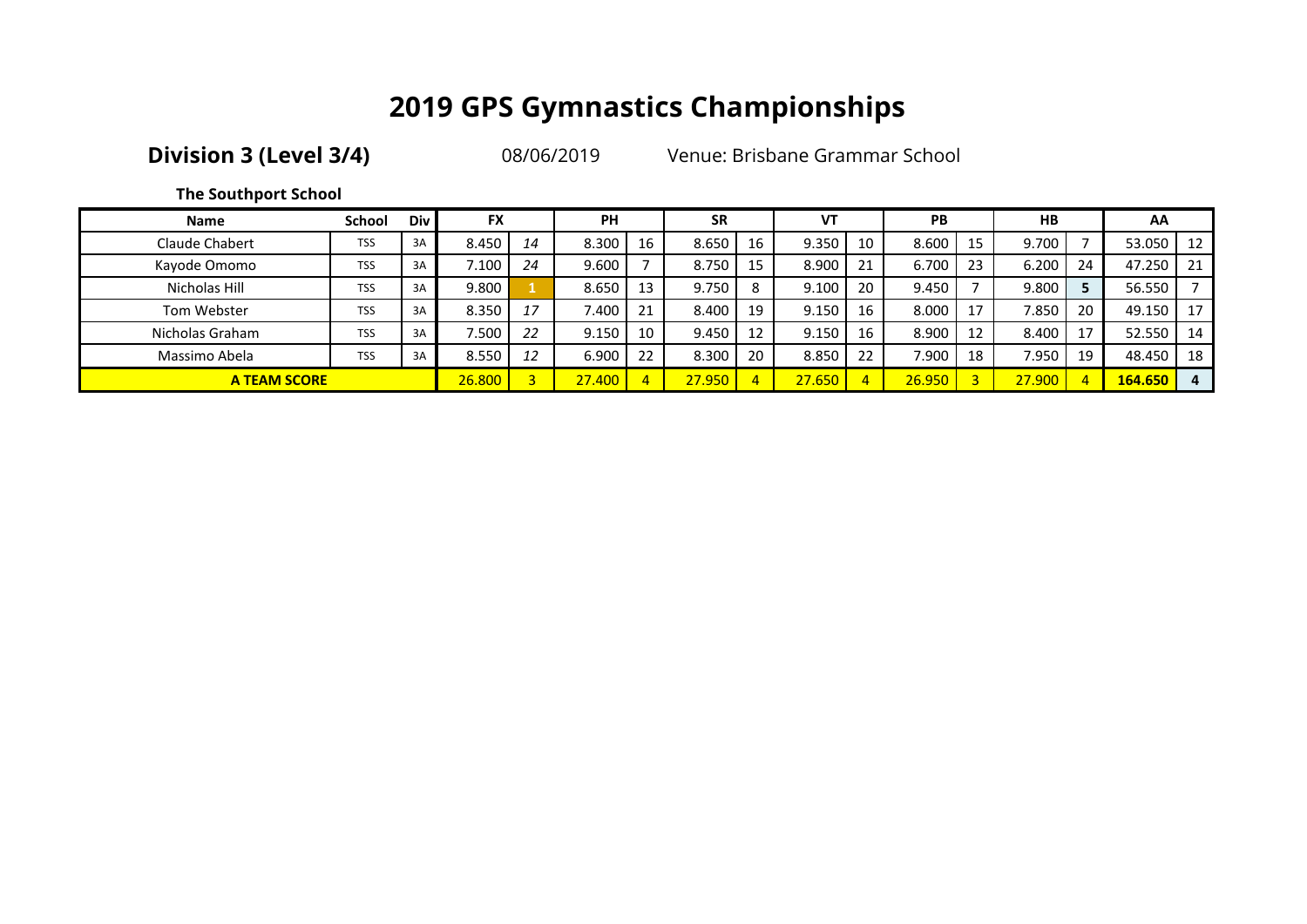**Division 3 (Level 3/4)** 08/06/2019 Venue: Brisbane Grammar School

### **The Southport School**

| <b>Name</b>         | <b>School</b> | <b>Div</b> | <b>FX</b> |                         | PH     |    | <b>SR</b> |    | VT     |    | PB     |    | <b>HB</b> |          | AA      |     |
|---------------------|---------------|------------|-----------|-------------------------|--------|----|-----------|----|--------|----|--------|----|-----------|----------|---------|-----|
| Claude Chabert      | <b>TSS</b>    | 3A         | 8.450     | 14                      | 8.300  | 16 | 8.650     | 16 | 9.350  | 10 | 8.600  | 15 | 9.700     |          | 53.050  | -12 |
| Kayode Omomo        | <b>TSS</b>    | 3A         | 7.100     | 24                      | 9.600  |    | 8.750     |    | 8.900  | 21 | 6.700  | 23 | 6.200     | 24       | 47.250  | 21  |
| Nicholas Hill       | <b>TSS</b>    | 3A         | 9.800     |                         | 8.650  | 13 | 9.750     | 8  | 9.100  | 20 | 9.450  |    | 9.800     |          | 56.550  |     |
| Tom Webster         | <b>TSS</b>    | 3A         | 8.350     | 17                      | 7.400  | 21 | 8.400     | 19 | 9.150  | 16 | 8.000  | 17 | 7.850     | 20       | 49.150  | 17  |
| Nicholas Graham     | <b>TSS</b>    | 3A         | 7.500     | 22                      | 9.150  | 10 | 9.450     | 12 | 9.150  | 16 | 8.900  | 12 | 8.400     | 17       | 52.550  | -14 |
| Massimo Abela       | <b>TSS</b>    | 3A         | 8.550     | 12                      | 6.900  | 22 | 8.300     | 20 | 8.850  | 22 | 7.900  | 18 | 7.950     | 19       | 48.450  | 18  |
| <b>A TEAM SCORE</b> |               |            | 26,800    | $\overline{\mathbf{z}}$ | 27.400 |    | 27,950    |    | 27.650 | 4  | 26.950 |    | 27.900    | <b>1</b> | 164.650 | 4   |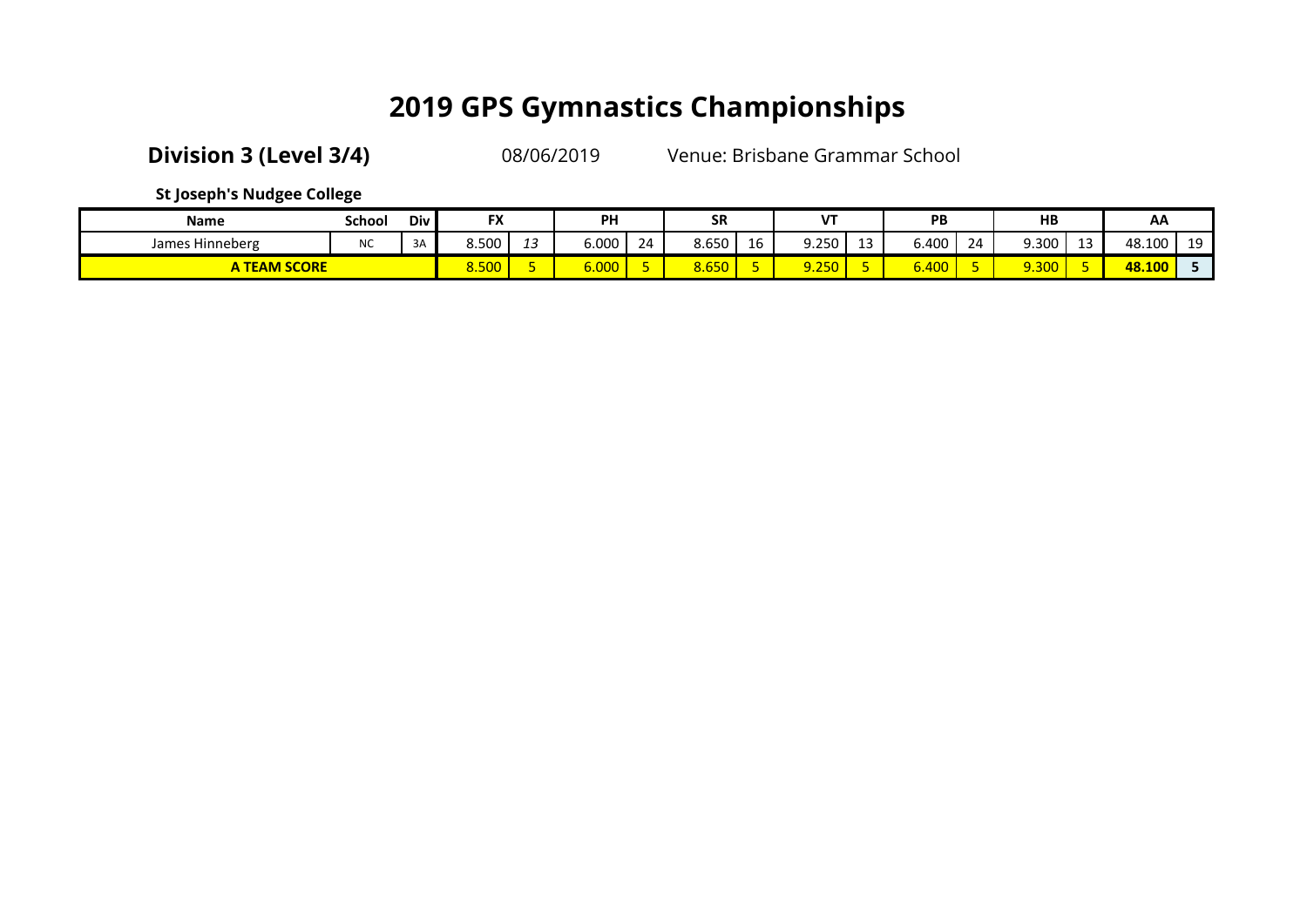**Division 3 (Level 3/4)** 08/06/2019 Venue: Brisbane Grammar School

**St Joseph's Nudgee College**

| <b>Name</b>             | School    | Div | <b>FX</b>           |    | <b>PH</b>          |    | <b>SR</b> |    | 1 IT        |             | PB                 |    | HB    |    | AA     |         |
|-------------------------|-----------|-----|---------------------|----|--------------------|----|-----------|----|-------------|-------------|--------------------|----|-------|----|--------|---------|
| James Hinneberg         | <b>NC</b> | 3A  | 8.500               | -- | 6.000              | 24 | 8.650     | 16 | 9.250       | $\sim$<br>∸ | 6.400              | 24 | 9.300 | -- | 48.100 | 10<br>ᅩ |
| <b>TEAM SCORE</b><br>ΑI |           |     | <b>FOO</b><br>8.5UU |    | <mark>،000،</mark> |    | 8.650     |    | $-$<br>⋌∠⊃⊬ |             | $\sqrt{2}$<br>0.4U |    | 9.300 |    | 48.100 |         |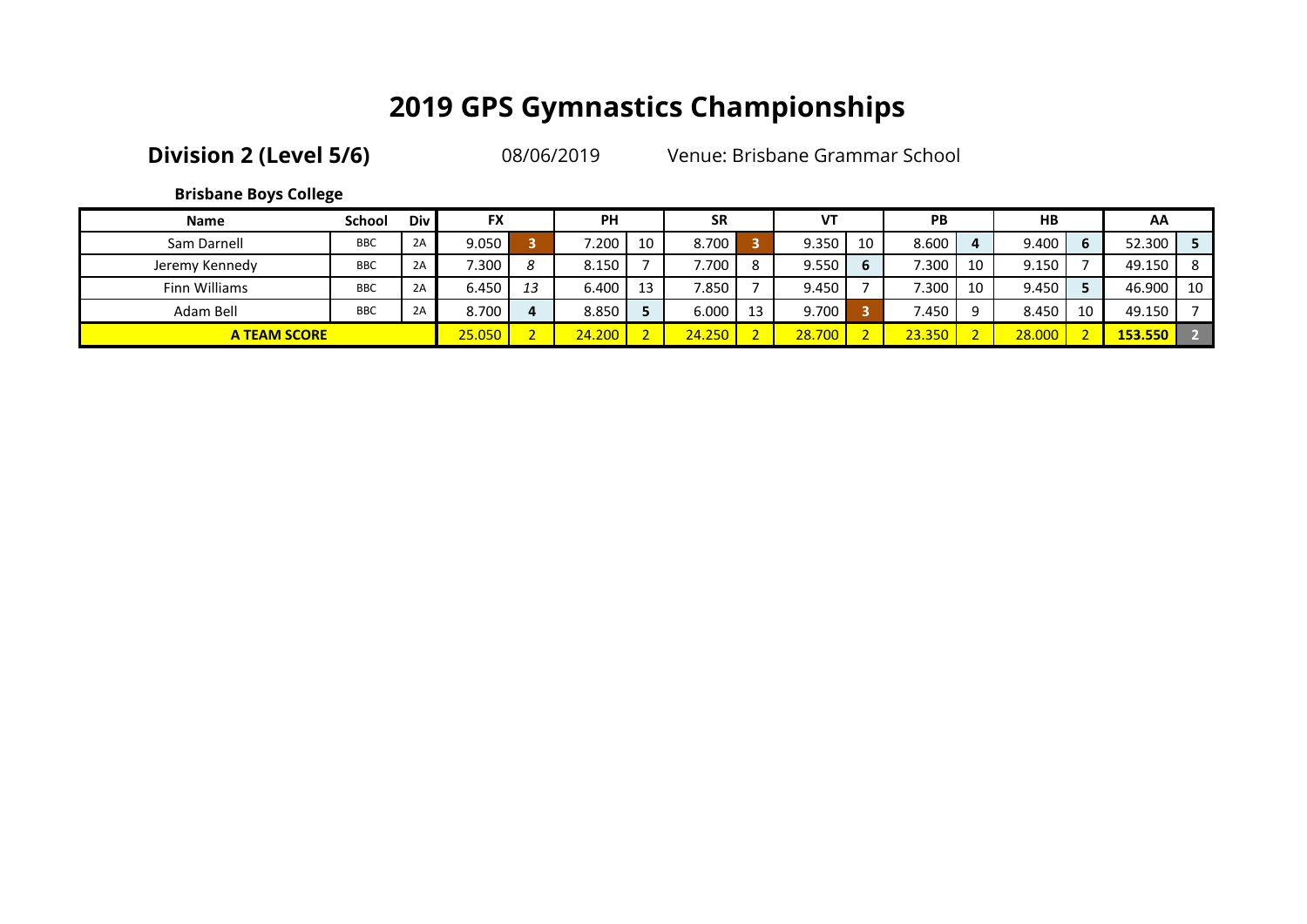| <b>Division 2 (Level 5/6)</b> |  |  |  |
|-------------------------------|--|--|--|
|-------------------------------|--|--|--|

08/06/2019 Venue: Brisbane Grammar School

### **Brisbane Boys College**

| <b>Name</b>         | <b>School</b> | <b>Div</b> | <b>FX</b> |    | <b>PH</b> |    | <b>SR</b> | VT     |    | PB     |    | <b>HB</b> |    | AA      |    |
|---------------------|---------------|------------|-----------|----|-----------|----|-----------|--------|----|--------|----|-----------|----|---------|----|
| Sam Darnell         | <b>BBC</b>    | 2A         | 9.050     |    | 7.200     | 10 | 8.700     | 9.350  | 10 | 8.600  |    | 9.400     |    | 52.300  |    |
| Jeremy Kennedy      | <b>BBC</b>    | 2A         | 7.300     | 8  | 8.150     |    | 7.700     | 9.550  |    | 7.300  | 10 | 9.150     |    | 49.150  | -8 |
| Finn Williams       | <b>BBC</b>    | 2A         | 6.450     | 13 | 6.400     | 13 | 7.850     | 9.450  |    | 7.300  | 10 | 9.450     |    | 46.900  | 10 |
| Adam Bell           | <b>BBC</b>    | 2A         | 8.700     |    | 8.850     |    | 6.000     | 9.700  |    | 7.450  | Q  | 8.450     | 10 | 49.150  |    |
| <b>A TEAM SCORE</b> |               |            | 25.050    |    | 24.200    |    | 24.250    | 28.700 |    | 23.350 |    | 28,000    |    | 153.550 |    |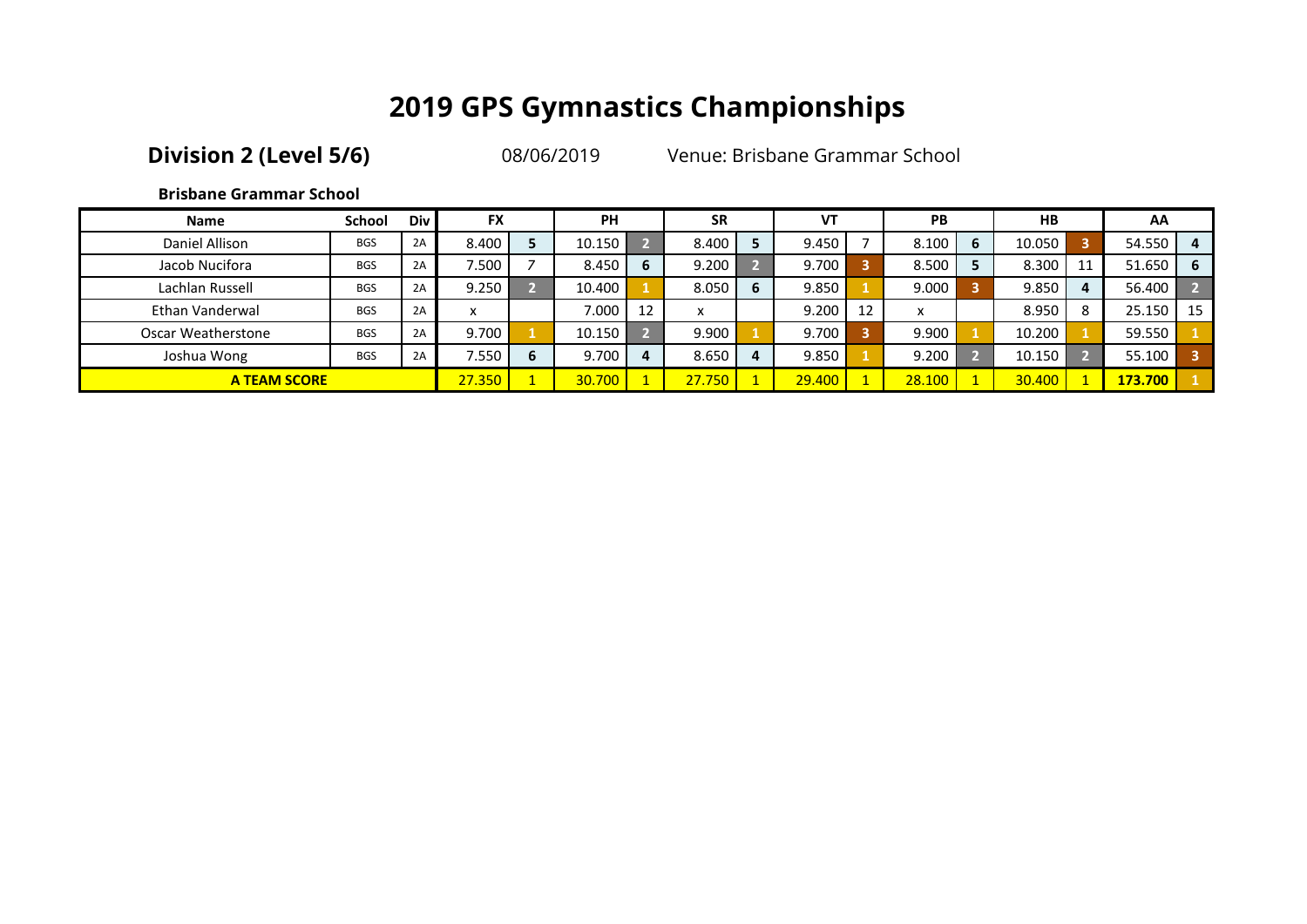**Division 2 (Level 5/6)** 08/06/2019 Venue: Brisbane Grammar School

### **Brisbane Grammar School**

| <b>Name</b>         | <b>School</b> | Div | <b>FX</b> | <b>PH</b> |    | <b>SR</b>    |   | VT     |    | <b>PB</b>                 |   | <b>HB</b> |                         | AA      |    |
|---------------------|---------------|-----|-----------|-----------|----|--------------|---|--------|----|---------------------------|---|-----------|-------------------------|---------|----|
| Daniel Allison      | <b>BGS</b>    | 2A  | 8.400     | 10.150    |    | 8.400        |   | 9.450  |    | 8.100                     | 6 | 10.050    | $\overline{\mathbf{3}}$ | 54.550  | 4  |
| Jacob Nucifora      | <b>BGS</b>    | 2A  | 7.500     | 8.450     | 6  | 9.200        |   | 9.700  |    | 8.500                     |   | 8.300     | 11                      | 51.650  | -6 |
| Lachlan Russell     | <b>BGS</b>    | 2A  | 9.250     | 10.400    |    | 8.050        | 6 | 9.850  |    | 9.000                     |   | 9.850     | 4                       | 56.400  |    |
| Ethan Vanderwal     | <b>BGS</b>    | 2A  | x         | 7.000     | 12 | $\checkmark$ |   | 9.200  | 12 | $\mathbf{v}$<br>$\lambda$ |   | 8.950     | 8                       | 25.150  | 15 |
| Oscar Weatherstone  | <b>BGS</b>    | 2A  | 9.700     | 10.150    |    | 9.900        |   | 9.700  |    | 9.900                     |   | 10.200    |                         | 59.550  |    |
| Joshua Wong         | <b>BGS</b>    | 2A  | 7.550     | 9.700     |    | 8.650        |   | 9.850  |    | 9.200                     |   | 10.150    |                         | 55.100  |    |
| <b>A TEAM SCORE</b> |               |     | 27.350    | 30.700    |    | 27.750       |   | 29.400 |    | 28.100                    |   | 30.400    |                         | 173.700 |    |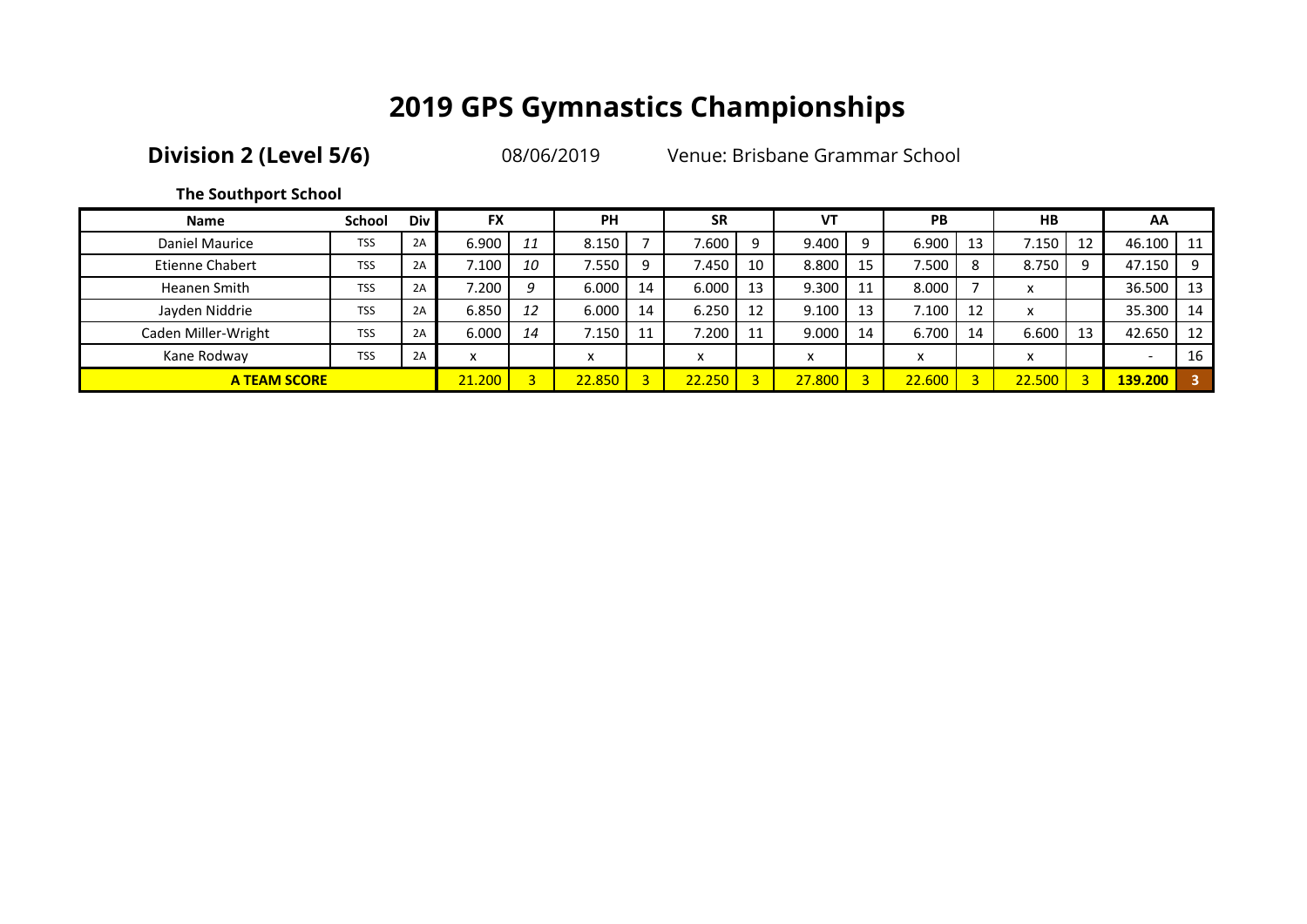**Division 2 (Level 5/6)** 08/06/2019 Venue: Brisbane Grammar School

### **The Southport School**

| <b>Name</b>            | <b>School</b>       | <b>Div</b> | <b>FX</b>         |                | PH        |    | <b>SR</b>      |    | VT     |    | PB     |    | HB     |    | AA      |      |
|------------------------|---------------------|------------|-------------------|----------------|-----------|----|----------------|----|--------|----|--------|----|--------|----|---------|------|
| Daniel Maurice         | <b>TSS</b>          | 2A         | 6.900             | 11             | 8.150     |    | 7.600          | q  | 9.400  | Q  | 6.900  | 13 | /0.150 | 12 | 46.100  | 11   |
| <b>Etienne Chabert</b> | <b>TSS</b>          | 2A         | 7.100             | 10             | 7.550     | q  | 7.450          | 10 | 8.800  | 15 | 7.500  | 8  | 8.750  | q  | 47.150  | 9    |
| Heanen Smith           | <b>TSS</b>          | 2A         | 7.200             | a              | 6.000     | 14 | 6.000          | 13 | 9.300  | 11 | 8.000  |    |        |    | 36.500  | - 13 |
| Jayden Niddrie         | <b>TSS</b>          | 2A         | 6.850             | 12             | 6.000     | 14 | 6.250          | 12 | 9.100  | 13 | 7.100  | 12 |        |    | 35.300  | -14  |
| Caden Miller-Wright    | <b>TSS</b>          | 2A         | 6.000             | 14             | 7.150     | 11 | 7.200          | 11 | 9.000  | 14 | 6.700  | 14 | 6.600  | 13 | 42.650  | -12  |
| Kane Rodway            | <b>TSS</b>          | 2A         | $\checkmark$<br>́ |                | $\lambda$ |    | $\lambda$<br>Λ |    | x      |    | v      |    |        |    |         | 16   |
|                        | <b>A TEAM SCORE</b> |            | 21.200            | $\overline{a}$ | 22.850    |    | 22.250         |    | 27.800 |    | 22,600 |    | 22.500 |    | 139.200 |      |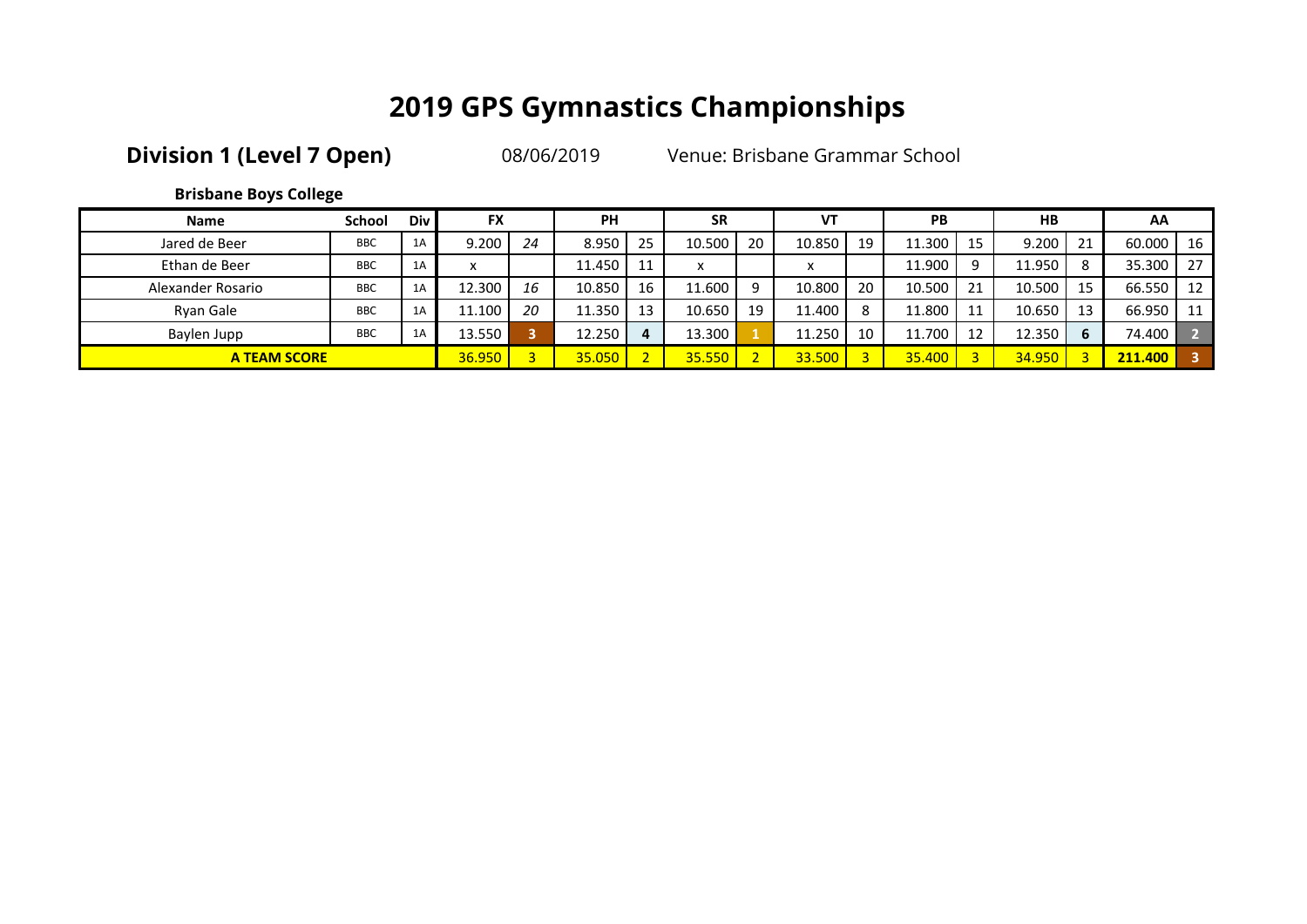**Division 1 (Level 7 Open)** 08/06/2019 Venue: Brisbane Grammar School

**Brisbane Boys College**

| <b>Name</b>       | <b>School</b>       | Div | <b>FX</b>         |                | <b>PH</b> |    | <b>SR</b>               |    | VT        |    | PB     |    | H <sub>B</sub> |    | AA      |                 |
|-------------------|---------------------|-----|-------------------|----------------|-----------|----|-------------------------|----|-----------|----|--------|----|----------------|----|---------|-----------------|
| Jared de Beer     | <b>BBC</b>          | 1A  | 9.200             | 24             | 8.950     | 25 | 10.500                  | 20 | 10.850    | 19 | 11.300 | 15 | 9.200          | 21 | 60.000  | - 16            |
| Ethan de Beer     | <b>BBC</b>          | 1A  | $\checkmark$<br>́ |                | 11.450    | 11 | $\check{}$<br>$\lambda$ |    | $\lambda$ |    | 11.900 | Q  | 11.950         | 8  | 35.300  | 127             |
| Alexander Rosario | <b>BBC</b>          | 1A  | 12.300            | 16             | 10.850    | 16 | 11.600                  |    | 10.800    | 20 | 10.500 | 21 | 10.500         | 15 | 66.550  | 12              |
| Rvan Gale         | <b>BBC</b>          | 1A  | 11.100            | 20             | 11.350    | 13 | 10.650                  | 19 | 11.400    | 8  | 11.800 | 11 | 10.650         | 13 | 66.950  | $\overline{11}$ |
| Baylen Jupp       | <b>BBC</b>          | 1A  | 13.550            |                | 12.250    | 4  | 13.300                  |    | 11.250    | 10 | 11.700 | 12 | 12.350         | 6  | 74.400  |                 |
|                   | <b>A TEAM SCORE</b> |     | 36.950            | $\overline{2}$ | 35.050    |    | 35.550                  |    | 33.500    |    | 35,400 |    | 34.950         |    | 211.400 |                 |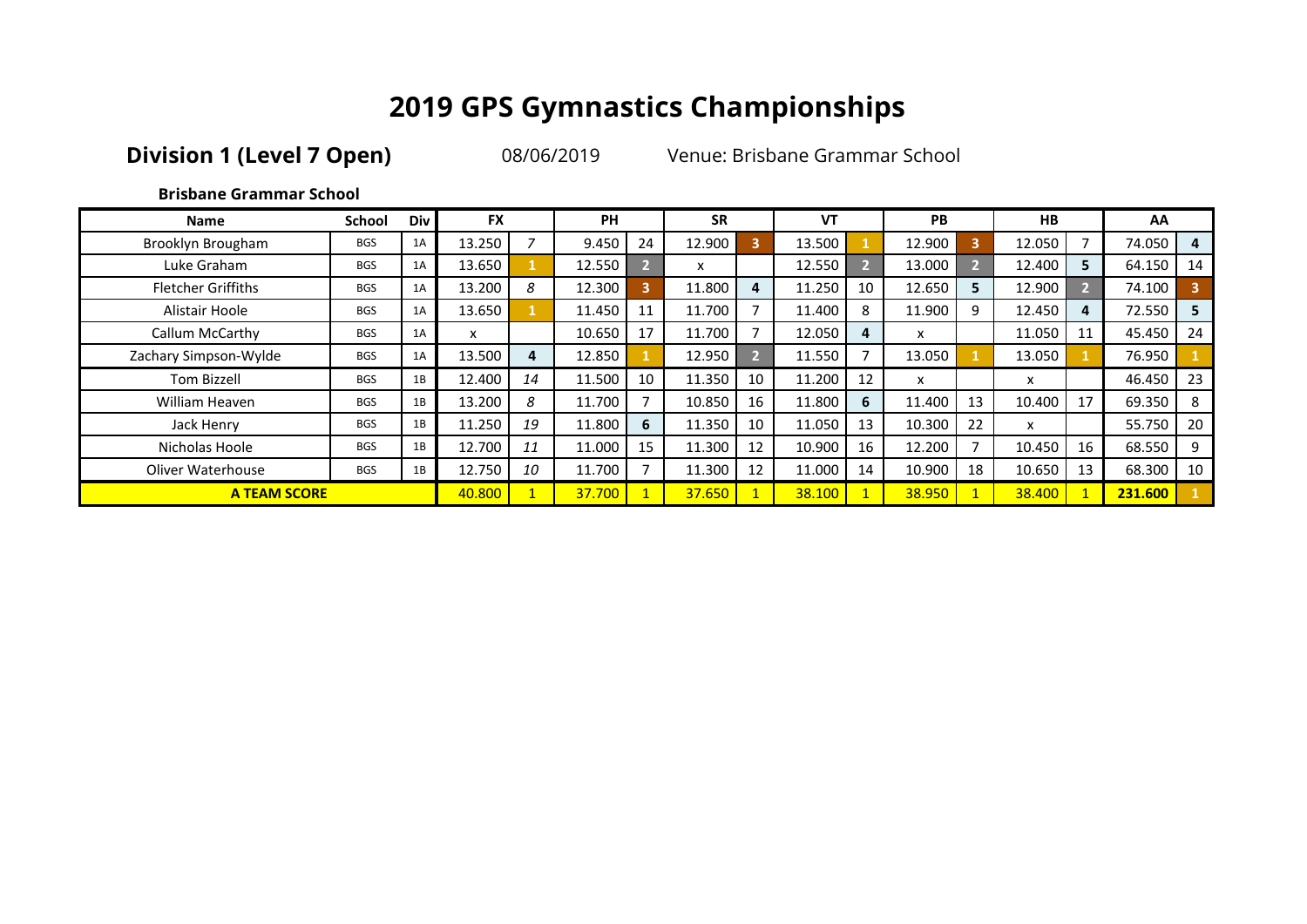**Division 1 (Level 7 Open)** 08/06/2019 Venue: Brisbane Grammar School

### **Brisbane Grammar School**

| <b>Name</b>               | <b>School</b> | <b>Div</b> | <b>FX</b> |              | <b>PH</b> |                         | <b>SR</b> |    | <b>VT</b> |    | <b>PB</b> |    | <b>HB</b>    |                | AA      |    |
|---------------------------|---------------|------------|-----------|--------------|-----------|-------------------------|-----------|----|-----------|----|-----------|----|--------------|----------------|---------|----|
| Brooklyn Brougham         | <b>BGS</b>    | 1A         | 13.250    | 7            | 9.450     | 24                      | 12.900    | 3  | 13.500    |    | 12.900    | 3  | 12.050       |                | 74.050  | 4  |
| Luke Graham               | <b>BGS</b>    | 1A         | 13.650    |              | 12.550    | D.                      | x         |    | 12.550    |    | 13.000    | D. | 12.400       | 5              | 64.150  | 14 |
| <b>Fletcher Griffiths</b> | <b>BGS</b>    | 1A         | 13.200    | 8            | 12.300    | $\overline{\mathbf{3}}$ | 11.800    | 4  | 11.250    | 10 | 12.650    | 5  | 12.900       | $\overline{2}$ | 74.100  |    |
| Alistair Hoole            | <b>BGS</b>    | 1A         | 13.650    |              | 11.450    | 11                      | 11.700    |    | 11.400    | 8  | 11.900    | 9  | 12.450       | 4              | 72.550  | 5  |
| Callum McCarthy           | <b>BGS</b>    | 1A         | x         |              | 10.650    | 17                      | 11.700    |    | 12.050    | 4  | X         |    | 11.050       | 11             | 45.450  | 24 |
| Zachary Simpson-Wylde     | <b>BGS</b>    | 1A         | 13.500    | 4            | 12.850    |                         | 12.950    | 5  | 11.550    |    | 13.050    |    | 13.050       |                | 76.950  |    |
| Tom Bizzell               | <b>BGS</b>    | 1B         | 12.400    | 14           | 11.500    | 10                      | 11.350    | 10 | 11.200    | 12 | x         |    | $\mathsf{x}$ |                | 46.450  | 23 |
| William Heaven            | <b>BGS</b>    | 1B         | 13.200    | 8            | 11.700    | 7                       | 10.850    | 16 | 11.800    | 6  | 11.400    | 13 | 10.400       | 17             | 69.350  | 8  |
| Jack Henry                | <b>BGS</b>    | 1B         | 11.250    | 19           | 11.800    | 6                       | 11.350    | 10 | 11.050    | 13 | 10.300    | 22 | x            |                | 55.750  | 20 |
| Nicholas Hoole            | <b>BGS</b>    | 1B         | 12.700    | 11           | 11.000    | 15                      | 11.300    | 12 | 10.900    | 16 | 12.200    |    | 10.450       | 16             | 68.550  | 9  |
| Oliver Waterhouse         | <b>BGS</b>    | 1B         | 12.750    | 10           | 11.700    |                         | 11.300    | 12 | 11.000    | 14 | 10.900    | 18 | 10.650       | 13             | 68.300  | 10 |
| <b>A TEAM SCORE</b>       |               |            | 40.800    | $\mathbf{1}$ | 37.700    | $\mathbf{1}$            | 37.650    |    | 38.100    |    | 38.950    |    | 38.400       |                | 231.600 |    |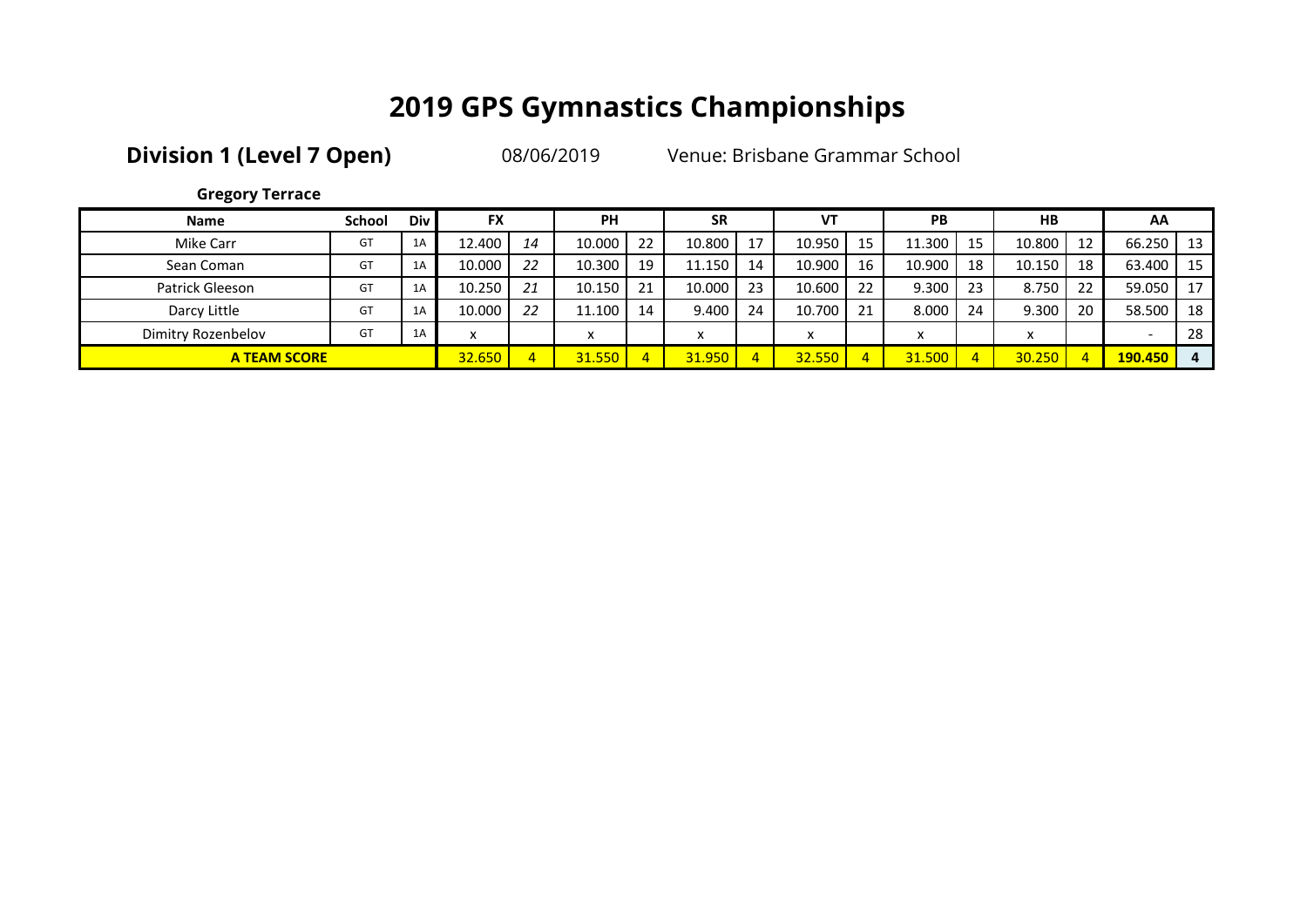**Division 1 (Level 7 Open)** 08/06/2019 Venue: Brisbane Grammar School

| <b>Gregory Terrace</b> |  |
|------------------------|--|
|------------------------|--|

| <b>Name</b>         | <b>School</b> | <b>Div</b> | <b>FX</b> |    | <b>PH</b>               |    | <b>SR</b>         |     | <b>VT</b> |    | <b>PB</b>  |    | HB     |    | AA      |      |
|---------------------|---------------|------------|-----------|----|-------------------------|----|-------------------|-----|-----------|----|------------|----|--------|----|---------|------|
| Mike Carr           | GT            | 1A         | 12.400    | 14 | 10.000                  | 22 | 10.800            | 17  | 10.950    | 15 | 11.300     | 15 | 10.800 | 12 | 66.250  | - 13 |
| Sean Coman          | GT            | 1A         | 10.000    | 22 | 10.300                  | 19 | 11.150            | 14  | 10.900    | 16 | 10.900     | 18 | 10.150 | 18 | 63.400  | - 15 |
| Patrick Gleeson     | GT            | 1A         | 10.250    | 21 | 10.150                  | 21 | 10.000            | -23 | 10.600    | 22 | 9.300      | 23 | 8.750  | 22 | 59.050  | 17   |
| Darcy Little        | GT            | 1A         | 10.000    | 22 | 11.100                  | 14 | 9.400             | 24  | 10.700    | 21 | 8.000      | 24 | 9.300  | 20 | 58.500  | 18   |
| Dimitry Rozenbelov  | GT            | 1A         | x         |    | $\check{}$<br>$\lambda$ |    | $\checkmark$<br>́ |     | x         |    | $\check{}$ |    |        |    |         | -28  |
| <b>A TEAM SCORE</b> |               |            | 32.650    |    | 31.550                  |    | 31.950            |     | 32.550    |    | 31.500     |    | 30.250 | -4 | 190.450 | 4    |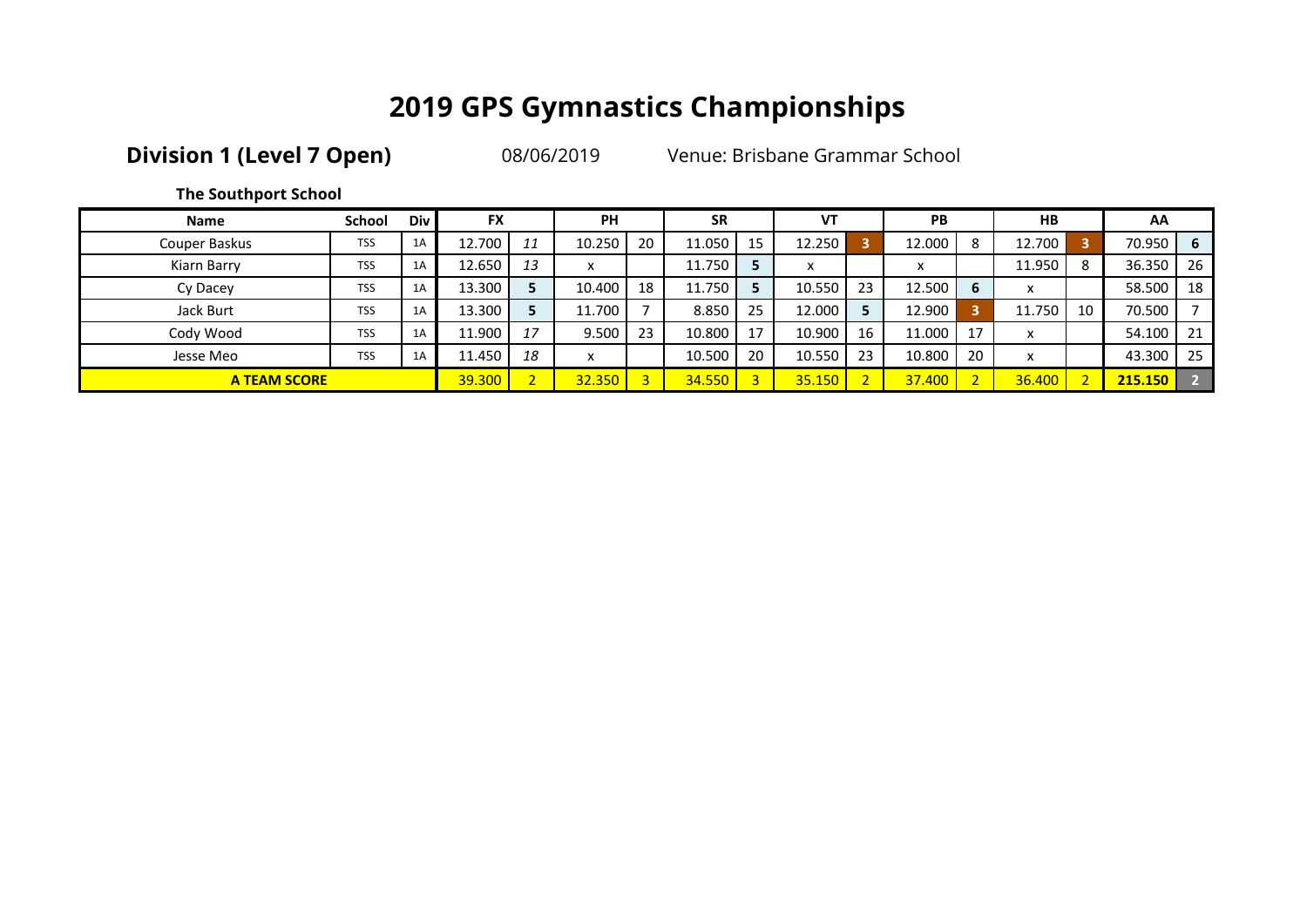**Division 1 (Level 7 Open)** 08/06/2019 Venue: Brisbane Grammar School

**The Southport School**

| <b>Name</b>         | School     | Div l | <b>FX</b> |    | <b>PH</b>               |    | <b>SR</b> |    | VT     |    | PB     |              | <b>HB</b>                 |    | AA      |     |
|---------------------|------------|-------|-----------|----|-------------------------|----|-----------|----|--------|----|--------|--------------|---------------------------|----|---------|-----|
| Couper Baskus       | <b>TSS</b> | 1A    | 12.700    | 11 | 10.250                  | 20 | 11.050    | 15 | 12.250 |    | 12.000 | 8            | 12.700                    | 5  | 70.950  | - 6 |
| Kiarn Barry         | <b>TSS</b> | 1A    | 12.650    | 13 | $\check{}$<br>$\lambda$ |    | 11.750    |    | x      |    | x      |              | 11.950                    | 8  | 36.350  | -26 |
| Cy Dacey            | <b>TSS</b> | 1A    | 13.300    |    | 10.400                  | 18 | 11.750    |    | 10.550 | 23 | 12.500 | 6            | $\mathbf{v}$<br>$\lambda$ |    | 58.500  | -18 |
| Jack Burt           | <b>TSS</b> | 1A    | 13.300    |    | 11.700                  |    | 8.850     | 25 | 12.000 |    | 12.900 | n            | 11.750                    | 10 | 70.500  |     |
| Cody Wood           | <b>TSS</b> | 1A    | 11.900    | 17 | 9.500                   | 23 | 10.800    | 17 | 10.900 | 16 | 11.000 | 17           | $\mathbf{v}$<br>$\lambda$ |    | 54.100  | -21 |
| Jesse Meo           | <b>TSS</b> | 1A    | 11.450    | 18 | x                       |    | 10.500    | 20 | 10.550 | 23 | 10.800 | 20           | $\checkmark$<br>ᄉ         |    | 43.300  | -25 |
| <b>A TEAM SCORE</b> |            |       | 39.300    |    | 32.350                  |    | 34.550    |    | 35.150 |    | 37,400 | $\mathbf{D}$ | 36,400                    |    | 215.150 |     |